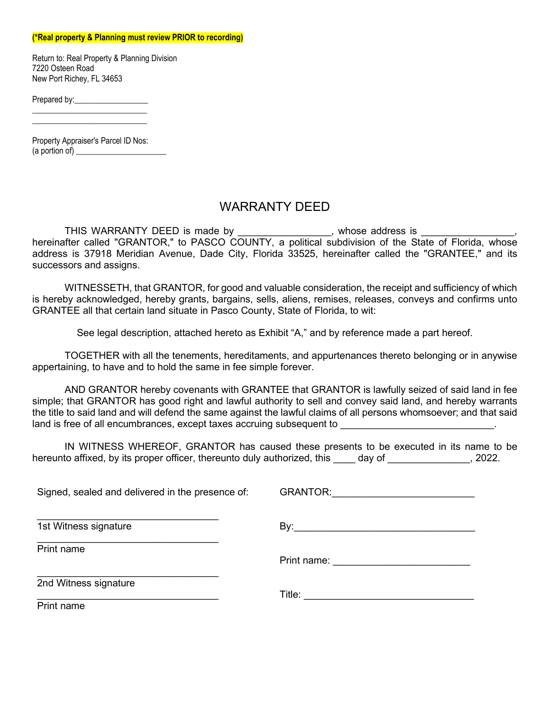## **(\*Real property & Planning must review PRIOR to recording)**

Return to: Real Property & Planning Division 7220 Osteen Road New Port Richey, FL 34653

Prepared by:\_\_\_\_\_\_\_\_\_\_\_\_\_\_\_\_\_\_

Property Appraiser's Parcel ID Nos:  $(a$  portion of)  $\qquad \qquad$ 

\_\_\_\_\_\_\_\_\_\_\_\_\_\_\_\_\_\_\_\_\_\_\_\_\_\_\_\_ \_\_\_\_\_\_\_\_\_\_\_\_\_\_\_\_\_\_\_\_\_\_\_\_\_\_\_\_

## WARRANTY DEED

THIS WARRANTY DEED is made by \_\_\_\_\_\_\_\_\_\_\_\_\_\_\_, whose address is \_\_\_\_\_\_\_\_\_\_\_\_\_\_\_, hereinafter called "GRANTOR," to PASCO COUNTY, a political subdivision of the State of Florida, whose address is 37918 Meridian Avenue, Dade City, Florida 33525, hereinafter called the "GRANTEE," and its successors and assigns.

WITNESSETH, that GRANTOR, for good and valuable consideration, the receipt and sufficiency of which is hereby acknowledged, hereby grants, bargains, sells, aliens, remises, releases, conveys and confirms unto GRANTEE all that certain land situate in Pasco County, State of Florida, to wit:

See legal description, attached hereto as Exhibit "A," and by reference made a part hereof.

TOGETHER with all the tenements, hereditaments, and appurtenances thereto belonging or in anywise appertaining, to have and to hold the same in fee simple forever.

AND GRANTOR hereby covenants with GRANTEE that GRANTOR is lawfully seized of said land in fee simple; that GRANTOR has good right and lawful authority to sell and convey said land, and hereby warrants the title to said land and will defend the same against the lawful claims of all persons whomsoever; and that said land is free of all encumbrances, except taxes accruing subsequent to

IN WITNESS WHEREOF, GRANTOR has caused these presents to be executed in its name to be hereunto affixed, by its proper officer, thereunto duly authorized, this day of  $\qquad \qquad$ , 2022.

Signed, sealed and delivered in the presence of: \_\_\_\_\_\_\_\_\_\_\_\_\_\_\_\_\_\_\_\_\_\_\_\_\_\_\_\_\_\_\_\_\_ 1st Witness signature \_\_\_\_\_\_\_\_\_\_\_\_\_\_\_\_\_\_\_\_\_\_\_\_\_\_\_\_\_\_\_\_\_ Print name GRANTOR: By:\_\_\_\_\_\_\_\_\_\_\_\_\_\_\_\_\_\_\_\_\_\_\_\_\_\_\_\_\_\_\_\_\_ Print name: **Example 20**  $\blacksquare$  Title:  $\blacksquare$ \_\_\_\_\_\_\_\_\_\_\_\_\_\_\_\_\_\_\_\_\_\_\_\_\_\_\_\_\_\_\_\_\_ 2nd Witness signature \_\_\_\_\_\_\_\_\_\_\_\_\_\_\_\_\_\_\_\_\_\_\_\_\_\_\_\_\_\_\_\_\_ Print name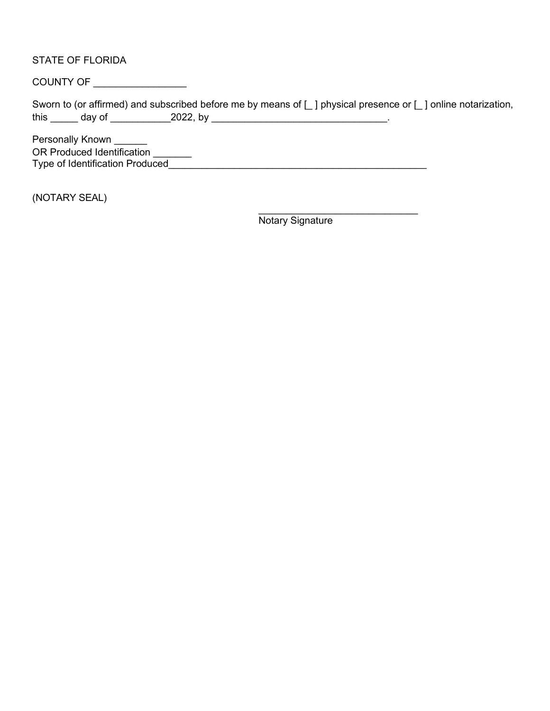STATE OF FLORIDA

COUNTY OF \_\_\_\_\_\_\_\_\_\_\_\_\_\_\_\_\_

Sworn to (or affirmed) and subscribed before me by means of [ ] physical presence or [ ] online notarization, this \_\_\_\_\_ day of \_\_\_\_\_\_\_\_\_\_\_2022, by \_\_\_\_\_\_\_\_\_\_\_\_\_\_\_\_\_\_\_\_\_\_\_\_\_\_\_\_\_\_\_\_.

Personally Known \_\_\_\_\_\_ OR Produced Identification \_\_\_\_\_\_\_ Type of Identification Produced\_\_\_\_\_\_\_\_\_\_\_\_\_\_\_\_\_\_\_\_\_\_\_\_\_\_\_\_\_\_\_\_\_\_\_\_\_\_\_\_\_\_\_\_\_\_\_

(NOTARY SEAL)

 $\_$ Notary Signature